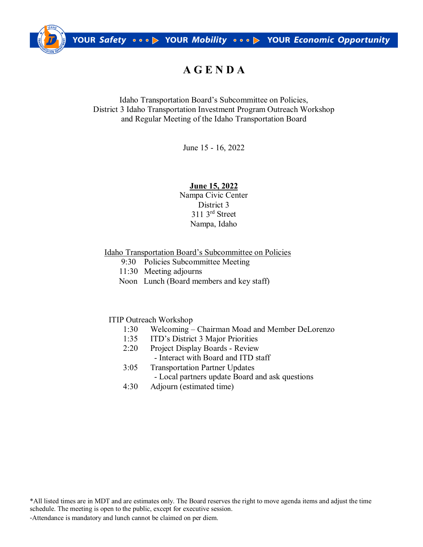

# **A G E N D A**

Idaho Transportation Board's Subcommittee on Policies, District 3 Idaho Transportation Investment Program Outreach Workshop and Regular Meeting of the Idaho Transportation Board

June 15 - 16, 2022

# **June 15, 2022**

Nampa Civic Center District 3 311 3rd Street Nampa, Idaho

### Idaho Transportation Board's Subcommittee on Policies

- 9:30 Policies Subcommittee Meeting
- 11:30 Meeting adjourns
- Noon Lunch (Board members and key staff)

# ITIP Outreach Workshop

- 1:30 Welcoming Chairman Moad and Member DeLorenzo
- 1:35 ITD's District 3 Major Priorities
- 2:20 Project Display Boards Review - Interact with Board and ITD staff
- 3:05 Transportation Partner Updates - Local partners update Board and ask questions
- 4:30 Adjourn (estimated time)

\*All listed times are in MDT and are estimates only. The Board reserves the right to move agenda items and adjust the time schedule. The meeting is open to the public, except for executive session.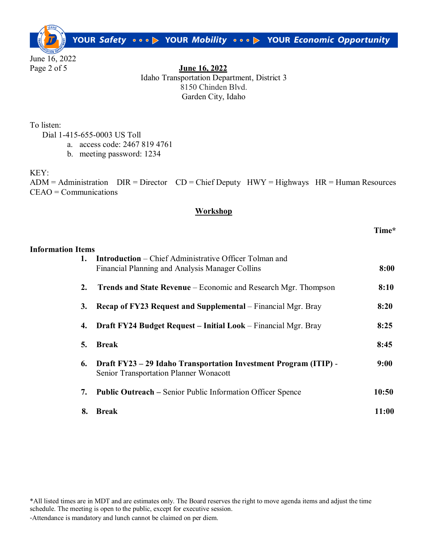YOUR Safety 000 D YOUR Mobility 000 D YOUR Economic Opportunity

June 16, 2022

Page 2 of 5 **June 16, 2022** Idaho Transportation Department, District 3 8150 Chinden Blvd. Garden City, Idaho

To listen:

Dial 1-415-655-0003 US Toll

- a. access code: 2467 819 4761
- b. meeting password: 1234

KEY:

 $ADM =$  Administration  $DIR = Director$   $CD = Chief$  Deputy  $HWY = Highways$   $HR = Human Resources$ CEAO = Communications

# **Workshop**

## **Time\***

| <b>Information Items</b> |                                                                                                                  |       |
|--------------------------|------------------------------------------------------------------------------------------------------------------|-------|
| 1.                       | <b>Introduction</b> – Chief Administrative Officer Tolman and<br>Financial Planning and Analysis Manager Collins | 8:00  |
| 2.                       | <b>Trends and State Revenue</b> – Economic and Research Mgr. Thompson                                            | 8:10  |
| 3.                       | <b>Recap of FY23 Request and Supplemental</b> – Financial Mgr. Bray                                              | 8:20  |
| 4.                       | <b>Draft FY24 Budget Request – Initial Look</b> – Financial Mgr. Bray                                            | 8:25  |
| 5.                       | <b>Break</b>                                                                                                     | 8:45  |
| 6.                       | Draft FY23 - 29 Idaho Transportation Investment Program (ITIP) -<br>Senior Transportation Planner Wonacott       | 9:00  |
| 7.                       | <b>Public Outreach – Senior Public Information Officer Spence</b>                                                | 10:50 |
| 8.                       | <b>Break</b>                                                                                                     | 11:00 |

\*All listed times are in MDT and are estimates only. The Board reserves the right to move agenda items and adjust the time schedule. The meeting is open to the public, except for executive session.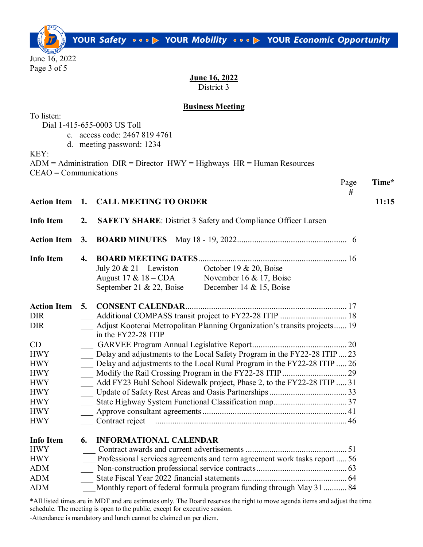YOUR Safety on op YOUR Mobility on op YOUR Economic Opportunity

June 16, 2022 Page 3 of 5

#### **June 16, 2022** District 3

### **Business Meeting**

To listen:

Dial 1-415-655-0003 US Toll

- c. access code: 2467 819 4761
- d. meeting password: 1234

KEY:

| $CEAO = Communications$ | $ADM =$ Administration $DIR = Director$ $HWY =$ Highways $HR =$ Human Resources |      |       |
|-------------------------|---------------------------------------------------------------------------------|------|-------|
|                         |                                                                                 | Page | Time* |
|                         | Action Item 1. CALL MEETING TO ORDER                                            | #    | 11:15 |
|                         | Info Item 2. SAFETY SHARE: District 3 Safety and Compliance Officer Larsen      |      |       |
|                         |                                                                                 |      |       |
| <b>Info Item</b>        |                                                                                 |      |       |
|                         | July 20 & 21 – Lewiston October 19 & 20, Boise                                  |      |       |
|                         | Avevet 17 $\ell$ 10 CDA Nevember 16 $\ell$ 17 December                          |      |       |

|                    |    | August $17 & 18 - CDA$   | November 16 & 17, Boise                                                   |
|--------------------|----|--------------------------|---------------------------------------------------------------------------|
|                    |    | September 21 & 22, Boise | December 14 & 15, Boise                                                   |
| <b>Action Item</b> | 5. |                          |                                                                           |
| <b>DIR</b>         |    |                          |                                                                           |
| <b>DIR</b>         |    |                          | Adjust Kootenai Metropolitan Planning Organization's transits projects 19 |
|                    |    | in the FY22-28 ITIP      |                                                                           |
| CD.                |    |                          |                                                                           |
| <b>HWY</b>         |    |                          | Delay and adjustments to the Local Safety Program in the FY22-28 ITIP23   |
| <b>HWY</b>         |    |                          | Delay and adjustments to the Local Rural Program in the FY22-28 ITIP  26  |
| <b>HWY</b>         |    |                          |                                                                           |
| <b>HWY</b>         |    |                          | Add FY23 Buhl School Sidewalk project, Phase 2, to the FY22-28 ITIP  31   |
| <b>HWY</b>         |    |                          |                                                                           |
| <b>HWY</b>         |    |                          |                                                                           |
| <b>HWY</b>         |    |                          |                                                                           |
| <b>HWY</b>         |    | Contract reject          |                                                                           |
|                    |    |                          |                                                                           |

| <b>Info Item</b> | <b>6. INFORMATIONAL CALENDAR</b>                                          |  |
|------------------|---------------------------------------------------------------------------|--|
| <b>HWY</b>       |                                                                           |  |
| <b>HWY</b>       | Professional services agreements and term agreement work tasks report  56 |  |
| <b>ADM</b>       |                                                                           |  |
| <b>ADM</b>       |                                                                           |  |
| <b>ADM</b>       | Monthly report of federal formula program funding through May 31 84       |  |

\*All listed times are in MDT and are estimates only. The Board reserves the right to move agenda items and adjust the time schedule. The meeting is open to the public, except for executive session.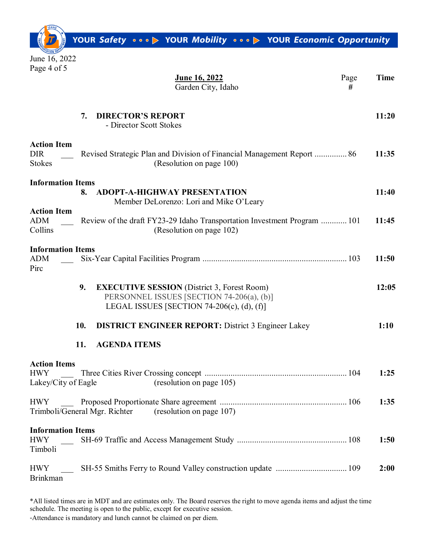YOUR Safety on op YOUR Mobility on op YOUR Economic Opportunity

June 16, 2022 Page 4 of 5

| <u>June 16, 2022</u><br>Page<br>Garden City, Idaho<br>#                                                                                                 | <b>Time</b> |
|---------------------------------------------------------------------------------------------------------------------------------------------------------|-------------|
| <b>DIRECTOR'S REPORT</b><br>7.<br>- Director Scott Stokes                                                                                               | 11:20       |
| <b>Action Item</b><br><b>DIR</b><br>Revised Strategic Plan and Division of Financial Management Report  86<br><b>Stokes</b><br>(Resolution on page 100) | 11:35       |
| <b>Information Items</b><br><b>ADOPT-A-HIGHWAY PRESENTATION</b><br>8.<br>Member DeLorenzo: Lori and Mike O'Leary                                        | 11:40       |
| <b>Action Item</b><br>ADM<br>Review of the draft FY23-29 Idaho Transportation Investment Program  101<br>Collins<br>(Resolution on page 102)            | 11:45       |
| <b>Information Items</b><br><b>ADM</b><br>Pirc                                                                                                          | 11:50       |
| <b>EXECUTIVE SESSION</b> (District 3, Forest Room)<br>9.<br>PERSONNEL ISSUES [SECTION 74-206(a), (b)]<br>LEGAL ISSUES [SECTION 74-206(c), (d), (f)]     | 12:05       |
| <b>DISTRICT ENGINEER REPORT: District 3 Engineer Lakey</b><br>10.                                                                                       | 1:10        |
| <b>AGENDA ITEMS</b><br>11.                                                                                                                              |             |
| <b>Action Items</b><br><b>HWY</b><br>(resolution on page 105)<br>Lakey/City of Eagle                                                                    | 1:25        |
| <b>HWY</b><br>Trimboli/General Mgr. Richter<br>(resolution on page 107)                                                                                 | 1:35        |
| <b>Information Items</b><br><b>HWY</b><br>Timboli                                                                                                       | 1:50        |
| <b>HWY</b><br><b>Brinkman</b>                                                                                                                           | 2:00        |

\*All listed times are in MDT and are estimates only. The Board reserves the right to move agenda items and adjust the time schedule. The meeting is open to the public, except for executive session.